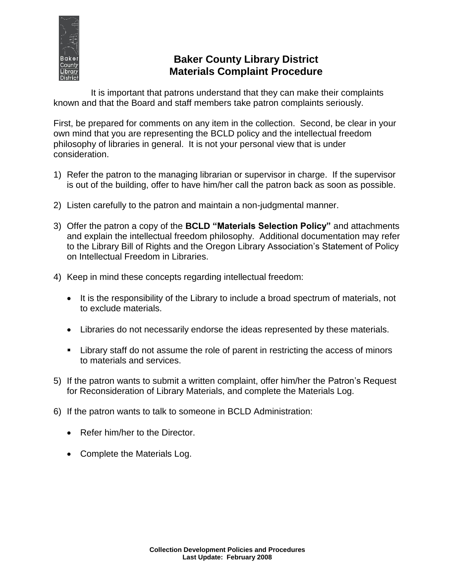

# **Baker County Library District Materials Complaint Procedure**

It is important that patrons understand that they can make their complaints known and that the Board and staff members take patron complaints seriously.

First, be prepared for comments on any item in the collection. Second, be clear in your own mind that you are representing the BCLD policy and the intellectual freedom philosophy of libraries in general. It is not your personal view that is under consideration.

- 1) Refer the patron to the managing librarian or supervisor in charge. If the supervisor is out of the building, offer to have him/her call the patron back as soon as possible.
- 2) Listen carefully to the patron and maintain a non-judgmental manner.
- 3) Offer the patron a copy of the **BCLD "Materials Selection Policy"** and attachments and explain the intellectual freedom philosophy. Additional documentation may refer to the Library Bill of Rights and the Oregon Library Association's Statement of Policy on Intellectual Freedom in Libraries.
- 4) Keep in mind these concepts regarding intellectual freedom:
	- It is the responsibility of the Library to include a broad spectrum of materials, not to exclude materials.
	- Libraries do not necessarily endorse the ideas represented by these materials.
	- **EXTERF** Library staff do not assume the role of parent in restricting the access of minors to materials and services.
- 5) If the patron wants to submit a written complaint, offer him/her the Patron's Request for Reconsideration of Library Materials, and complete the Materials Log.
- 6) If the patron wants to talk to someone in BCLD Administration:
	- Refer him/her to the Director.
	- Complete the Materials Log.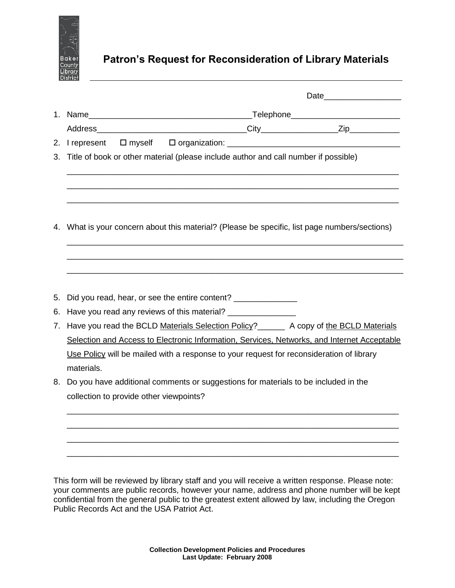

# **Patron's Request for Reconsideration of Library Materials**

|    |                                                                                             |  |                                                               |  | 3. Title of book or other material (please include author and call number if possible)        |  |  |
|----|---------------------------------------------------------------------------------------------|--|---------------------------------------------------------------|--|-----------------------------------------------------------------------------------------------|--|--|
|    |                                                                                             |  |                                                               |  |                                                                                               |  |  |
|    |                                                                                             |  |                                                               |  | 4. What is your concern about this material? (Please be specific, list page numbers/sections) |  |  |
|    |                                                                                             |  |                                                               |  |                                                                                               |  |  |
|    |                                                                                             |  |                                                               |  |                                                                                               |  |  |
|    |                                                                                             |  |                                                               |  |                                                                                               |  |  |
| 5. |                                                                                             |  | Did you read, hear, or see the entire content? ______________ |  |                                                                                               |  |  |
| 6. |                                                                                             |  |                                                               |  |                                                                                               |  |  |
|    |                                                                                             |  |                                                               |  | 7. Have you read the BCLD Materials Selection Policy? ______ A copy of the BCLD Materials     |  |  |
|    | Selection and Access to Electronic Information, Services, Networks, and Internet Acceptable |  |                                                               |  |                                                                                               |  |  |
|    | Use Policy will be mailed with a response to your request for reconsideration of library    |  |                                                               |  |                                                                                               |  |  |
|    | materials.                                                                                  |  |                                                               |  |                                                                                               |  |  |
| 8. | Do you have additional comments or suggestions for materials to be included in the          |  |                                                               |  |                                                                                               |  |  |
|    | collection to provide other viewpoints?                                                     |  |                                                               |  |                                                                                               |  |  |
|    |                                                                                             |  |                                                               |  |                                                                                               |  |  |
|    |                                                                                             |  |                                                               |  |                                                                                               |  |  |
|    |                                                                                             |  |                                                               |  |                                                                                               |  |  |
|    |                                                                                             |  |                                                               |  |                                                                                               |  |  |

This form will be reviewed by library staff and you will receive a written response. Please note: your comments are public records, however your name, address and phone number will be kept confidential from the general public to the greatest extent allowed by law, including the Oregon Public Records Act and the USA Patriot Act.